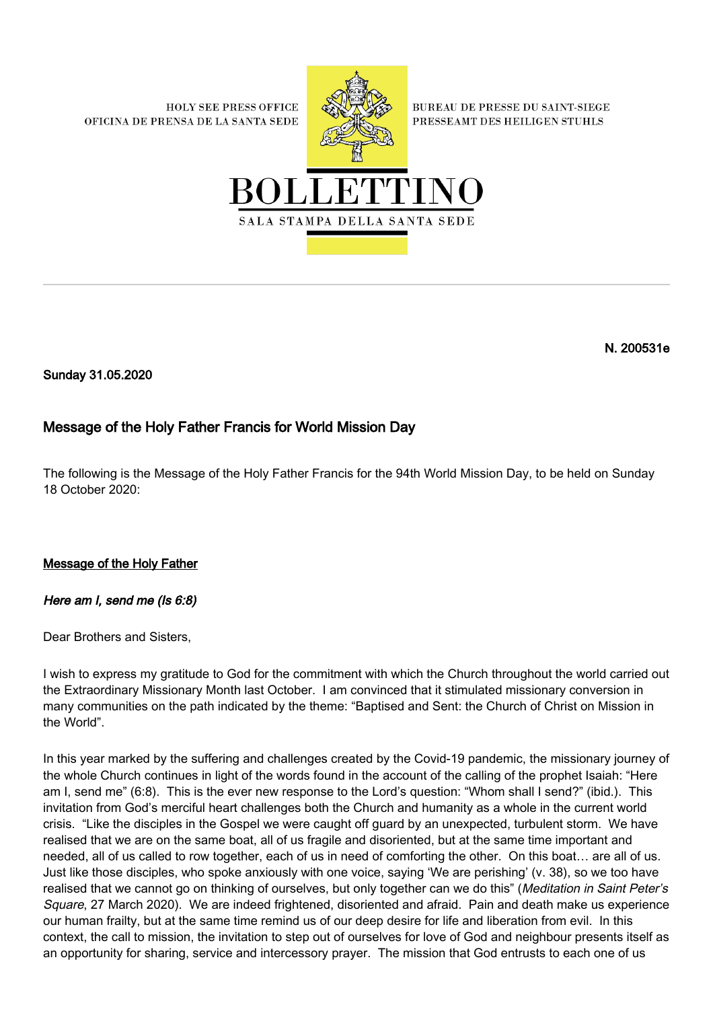**HOLY SEE PRESS OFFICE** OFICINA DE PRENSA DE LA SANTA SEDE



**BUREAU DE PRESSE DU SAINT-SIEGE** PRESSEAMT DES HEILIGEN STUHLS



N. 200531e

Sunday 31.05.2020

## Message of the Holy Father Francis for World Mission Day

The following is the Message of the Holy Father Francis for the 94th World Mission Day, to be held on Sunday 18 October 2020:

Message of the Holy Father

## Here am I, send me (Is 6:8)

Dear Brothers and Sisters,

I wish to express my gratitude to God for the commitment with which the Church throughout the world carried out the Extraordinary Missionary Month last October. I am convinced that it stimulated missionary conversion in many communities on the path indicated by the theme: "Baptised and Sent: the Church of Christ on Mission in the World".

In this year marked by the suffering and challenges created by the Covid-19 pandemic, the missionary journey of the whole Church continues in light of the words found in the account of the calling of the prophet Isaiah: "Here am I, send me" (6:8). This is the ever new response to the Lord's question: "Whom shall I send?" (ibid.). This invitation from God's merciful heart challenges both the Church and humanity as a whole in the current world crisis. "Like the disciples in the Gospel we were caught off guard by an unexpected, turbulent storm. We have realised that we are on the same boat, all of us fragile and disoriented, but at the same time important and needed, all of us called to row together, each of us in need of comforting the other. On this boat… are all of us. Just like those disciples, who spoke anxiously with one voice, saying 'We are perishing' (v. 38), so we too have realised that we cannot go on thinking of ourselves, but only together can we do this" (Meditation in Saint Peter's Square, 27 March 2020). We are indeed frightened, disoriented and afraid. Pain and death make us experience our human frailty, but at the same time remind us of our deep desire for life and liberation from evil. In this context, the call to mission, the invitation to step out of ourselves for love of God and neighbour presents itself as an opportunity for sharing, service and intercessory prayer. The mission that God entrusts to each one of us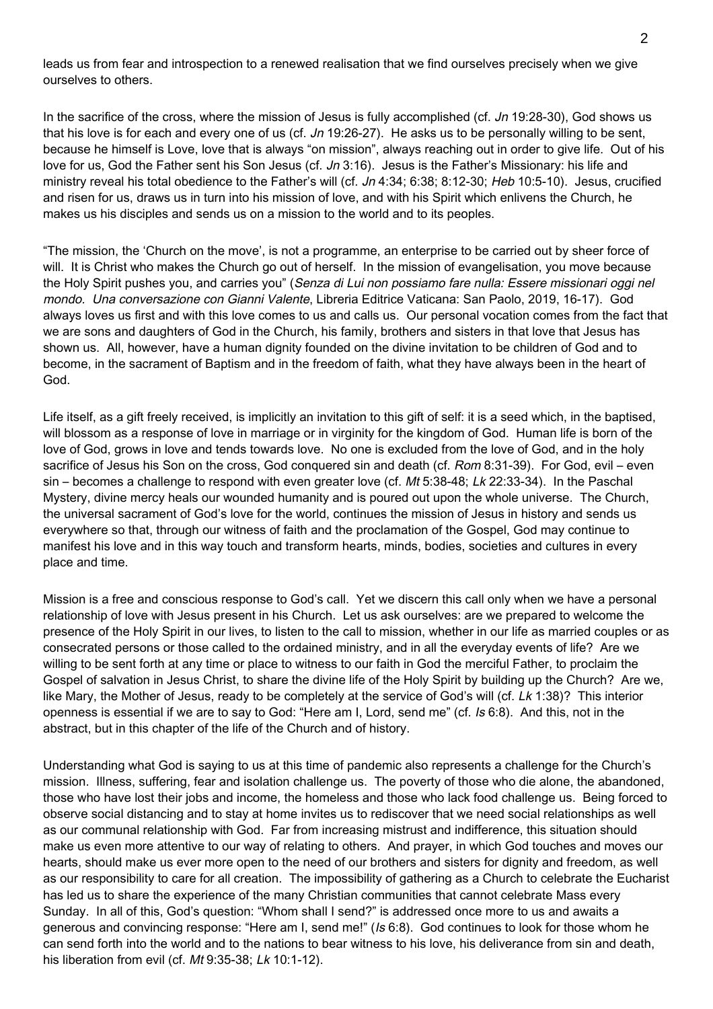leads us from fear and introspection to a renewed realisation that we find ourselves precisely when we give ourselves to others.

In the sacrifice of the cross, where the mission of Jesus is fully accomplished (cf. Jn 19:28-30), God shows us that his love is for each and every one of us (cf.  $Jn$  19:26-27). He asks us to be personally willing to be sent, because he himself is Love, love that is always "on mission", always reaching out in order to give life. Out of his love for us, God the Father sent his Son Jesus (cf. Jn 3:16). Jesus is the Father's Missionary: his life and ministry reveal his total obedience to the Father's will (cf. Jn 4:34; 6:38; 8:12-30; Heb 10:5-10). Jesus, crucified and risen for us, draws us in turn into his mission of love, and with his Spirit which enlivens the Church, he makes us his disciples and sends us on a mission to the world and to its peoples.

"The mission, the 'Church on the move', is not a programme, an enterprise to be carried out by sheer force of will. It is Christ who makes the Church go out of herself. In the mission of evangelisation, you move because the Holy Spirit pushes you, and carries you" (Senza di Lui non possiamo fare nulla: Essere missionari oggi nel mondo. Una conversazione con Gianni Valente, Libreria Editrice Vaticana: San Paolo, 2019, 16-17). God always loves us first and with this love comes to us and calls us. Our personal vocation comes from the fact that we are sons and daughters of God in the Church, his family, brothers and sisters in that love that Jesus has shown us. All, however, have a human dignity founded on the divine invitation to be children of God and to become, in the sacrament of Baptism and in the freedom of faith, what they have always been in the heart of God.

Life itself, as a gift freely received, is implicitly an invitation to this gift of self: it is a seed which, in the baptised, will blossom as a response of love in marriage or in virginity for the kingdom of God. Human life is born of the love of God, grows in love and tends towards love. No one is excluded from the love of God, and in the holy sacrifice of Jesus his Son on the cross, God conquered sin and death (cf. Rom 8:31-39). For God, evil – even sin – becomes a challenge to respond with even greater love (cf. Mt 5:38-48; Lk 22:33-34). In the Paschal Mystery, divine mercy heals our wounded humanity and is poured out upon the whole universe. The Church, the universal sacrament of God's love for the world, continues the mission of Jesus in history and sends us everywhere so that, through our witness of faith and the proclamation of the Gospel, God may continue to manifest his love and in this way touch and transform hearts, minds, bodies, societies and cultures in every place and time.

Mission is a free and conscious response to God's call. Yet we discern this call only when we have a personal relationship of love with Jesus present in his Church. Let us ask ourselves: are we prepared to welcome the presence of the Holy Spirit in our lives, to listen to the call to mission, whether in our life as married couples or as consecrated persons or those called to the ordained ministry, and in all the everyday events of life? Are we willing to be sent forth at any time or place to witness to our faith in God the merciful Father, to proclaim the Gospel of salvation in Jesus Christ, to share the divine life of the Holy Spirit by building up the Church? Are we, like Mary, the Mother of Jesus, ready to be completely at the service of God's will (cf. Lk 1:38)? This interior openness is essential if we are to say to God: "Here am I, Lord, send me" (cf. Is 6:8). And this, not in the abstract, but in this chapter of the life of the Church and of history.

Understanding what God is saying to us at this time of pandemic also represents a challenge for the Church's mission. Illness, suffering, fear and isolation challenge us. The poverty of those who die alone, the abandoned, those who have lost their jobs and income, the homeless and those who lack food challenge us. Being forced to observe social distancing and to stay at home invites us to rediscover that we need social relationships as well as our communal relationship with God. Far from increasing mistrust and indifference, this situation should make us even more attentive to our way of relating to others. And prayer, in which God touches and moves our hearts, should make us ever more open to the need of our brothers and sisters for dignity and freedom, as well as our responsibility to care for all creation. The impossibility of gathering as a Church to celebrate the Eucharist has led us to share the experience of the many Christian communities that cannot celebrate Mass every Sunday. In all of this, God's question: "Whom shall I send?" is addressed once more to us and awaits a generous and convincing response: "Here am I, send me!" (Is 6:8). God continues to look for those whom he can send forth into the world and to the nations to bear witness to his love, his deliverance from sin and death, his liberation from evil (cf. Mt 9:35-38; Lk 10:1-12).